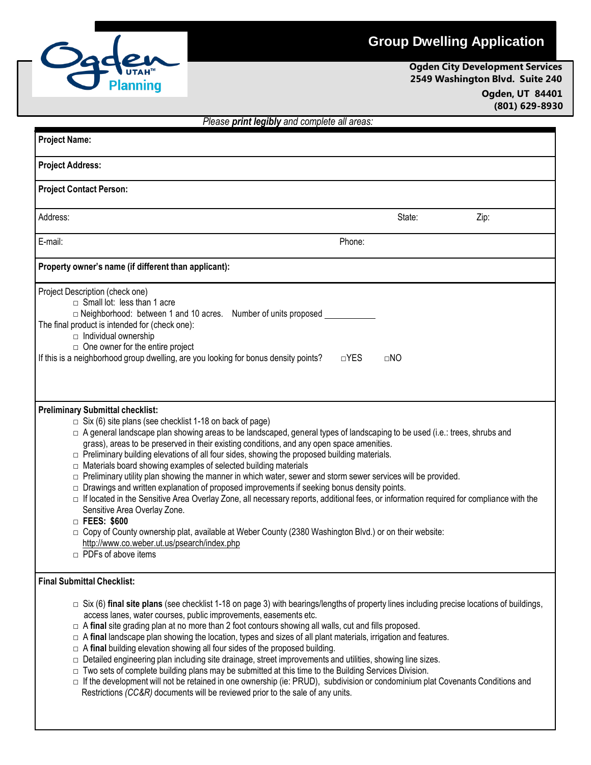## **Group Dwelling Application**



## **Ogden City Development Services 2549 Washington Blvd. Suite 240 Ogden, UT 84401 (801) 629-8930**

| Please print legibly and complete all areas:                                                                                                                                                                                                                                                                                                                                                                                                                                                                                                                                                                                                                                                                                                                                                                                                                                                                                                                                                                                                                                                                                      |            |           |      |
|-----------------------------------------------------------------------------------------------------------------------------------------------------------------------------------------------------------------------------------------------------------------------------------------------------------------------------------------------------------------------------------------------------------------------------------------------------------------------------------------------------------------------------------------------------------------------------------------------------------------------------------------------------------------------------------------------------------------------------------------------------------------------------------------------------------------------------------------------------------------------------------------------------------------------------------------------------------------------------------------------------------------------------------------------------------------------------------------------------------------------------------|------------|-----------|------|
| <b>Project Name:</b>                                                                                                                                                                                                                                                                                                                                                                                                                                                                                                                                                                                                                                                                                                                                                                                                                                                                                                                                                                                                                                                                                                              |            |           |      |
| <b>Project Address:</b>                                                                                                                                                                                                                                                                                                                                                                                                                                                                                                                                                                                                                                                                                                                                                                                                                                                                                                                                                                                                                                                                                                           |            |           |      |
| <b>Project Contact Person:</b>                                                                                                                                                                                                                                                                                                                                                                                                                                                                                                                                                                                                                                                                                                                                                                                                                                                                                                                                                                                                                                                                                                    |            |           |      |
| Address:                                                                                                                                                                                                                                                                                                                                                                                                                                                                                                                                                                                                                                                                                                                                                                                                                                                                                                                                                                                                                                                                                                                          |            | State:    | Zip: |
| E-mail:                                                                                                                                                                                                                                                                                                                                                                                                                                                                                                                                                                                                                                                                                                                                                                                                                                                                                                                                                                                                                                                                                                                           | Phone:     |           |      |
| Property owner's name (if different than applicant):                                                                                                                                                                                                                                                                                                                                                                                                                                                                                                                                                                                                                                                                                                                                                                                                                                                                                                                                                                                                                                                                              |            |           |      |
| Project Description (check one)<br>$\Box$ Small lot: less than 1 acre<br>□ Neighborhood: between 1 and 10 acres. Number of units proposed ______________<br>The final product is intended for (check one):<br>$\Box$ Individual ownership<br>$\Box$ One owner for the entire project<br>If this is a neighborhood group dwelling, are you looking for bonus density points?                                                                                                                                                                                                                                                                                                                                                                                                                                                                                                                                                                                                                                                                                                                                                       | $\Box$ YES | $\Box$ NO |      |
| <b>Preliminary Submittal checklist:</b><br>$\Box$ Six (6) site plans (see checklist 1-18 on back of page)<br>□ A general landscape plan showing areas to be landscaped, general types of landscaping to be used (i.e.: trees, shrubs and<br>grass), areas to be preserved in their existing conditions, and any open space amenities.<br>$\Box$ Preliminary building elevations of all four sides, showing the proposed building materials.<br>□ Materials board showing examples of selected building materials<br>$\Box$ Preliminary utility plan showing the manner in which water, sewer and storm sewer services will be provided.<br>$\Box$ Drawings and written explanation of proposed improvements if seeking bonus density points.<br>□ If located in the Sensitive Area Overlay Zone, all necessary reports, additional fees, or information required for compliance with the<br>Sensitive Area Overlay Zone.<br>□ FEES: \$600<br>□ Copy of County ownership plat, available at Weber County (2380 Washington Blvd.) or on their website:<br>http://www.co.weber.ut.us/psearch/index.php<br>$\Box$ PDFs of above items |            |           |      |
| <b>Final Submittal Checklist:</b><br>$\Box$ Six (6) final site plans (see checklist 1-18 on page 3) with bearings/lengths of property lines including precise locations of buildings,<br>access lanes, water courses, public improvements, easements etc.<br>$\Box$ A final site grading plan at no more than 2 foot contours showing all walls, cut and fills proposed.<br>$\Box$ A final landscape plan showing the location, types and sizes of all plant materials, irrigation and features.<br>$\Box$ A final building elevation showing all four sides of the proposed building.<br>$\Box$ Detailed engineering plan including site drainage, street improvements and utilities, showing line sizes.<br>$\Box$ Two sets of complete building plans may be submitted at this time to the Building Services Division.<br>□ If the development will not be retained in one ownership (ie: PRUD), subdivision or condominium plat Covenants Conditions and<br>Restrictions (CC&R) documents will be reviewed prior to the sale of any units.                                                                                    |            |           |      |